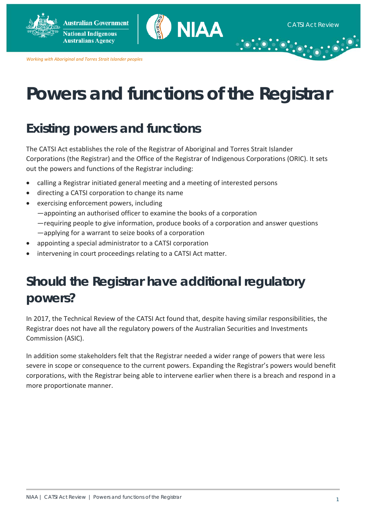

*Working with Aboriginal and Torres Strait Islander peoples*

# **Powers and functions of the Registrar**

# **Existing powers and functions**

The CATSI Act establishes the role of the Registrar of Aboriginal and Torres Strait Islander Corporations (the Registrar) and the Office of the Registrar of Indigenous Corporations (ORIC). It sets out the powers and functions of the Registrar including:

- calling a Registrar initiated general meeting and a meeting of interested persons
- directing a CATSI corporation to change its name
- exercising enforcement powers, including —appointing an authorised officer to examine the books of a corporation —requiring people to give information, produce books of a corporation and answer questions —applying for a warrant to seize books of a corporation
- appointing a special administrator to a CATSI corporation
- intervening in court proceedings relating to a CATSI Act matter.

# **Should the Registrar have additional regulatory powers?**

In 2017, the Technical Review of the CATSI Act found that, despite having similar responsibilities, the Registrar does not have all the regulatory powers of the Australian Securities and Investments Commission (ASIC).

In addition some stakeholders felt that the Registrar needed a wider range of powers that were less severe in scope or consequence to the current powers. Expanding the Registrar's powers would benefit corporations, with the Registrar being able to intervene earlier when there is a breach and respond in a more proportionate manner.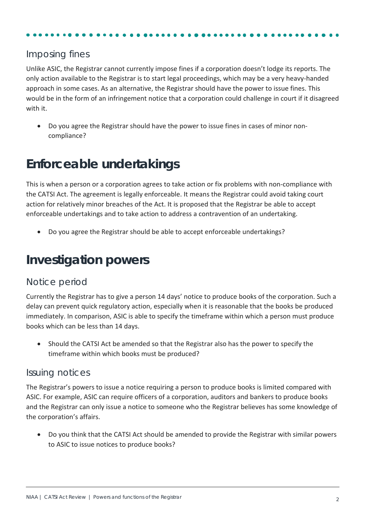### Imposing fines

Unlike ASIC, the Registrar cannot currently impose fines if a corporation doesn't lodge its reports. The only action available to the Registrar is to start legal proceedings, which may be a very heavy-handed approach in some cases. As an alternative, the Registrar should have the power to issue fines. This would be in the form of an infringement notice that a corporation could challenge in court if it disagreed with it.

• Do you agree the Registrar should have the power to issue fines in cases of minor noncompliance?

### **Enforceable undertakings**

This is when a person or a corporation agrees to take action or fix problems with non-compliance with the CATSI Act. The agreement is legally enforceable. It means the Registrar could avoid taking court action for relatively minor breaches of the Act. It is proposed that the Registrar be able to accept enforceable undertakings and to take action to address a contravention of an undertaking.

• Do you agree the Registrar should be able to accept enforceable undertakings?

## **Investigation powers**

#### Notice period

Currently the Registrar has to give a person 14 days' notice to produce books of the corporation. Such a delay can prevent quick regulatory action, especially when it is reasonable that the books be produced immediately. In comparison, ASIC is able to specify the timeframe within which a person must produce books which can be less than 14 days.

• Should the CATSI Act be amended so that the Registrar also has the power to specify the timeframe within which books must be produced?

#### Issuing notices

The Registrar's powers to issue a notice requiring a person to produce books is limited compared with ASIC. For example, ASIC can require officers of a corporation, auditors and bankers to produce books and the Registrar can only issue a notice to someone who the Registrar believes has some knowledge of the corporation's affairs.

• Do you think that the CATSI Act should be amended to provide the Registrar with similar powers to ASIC to issue notices to produce books?